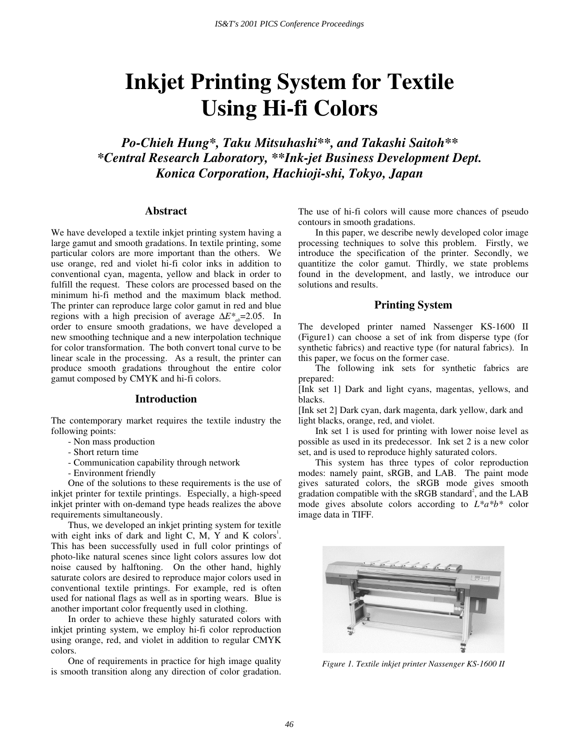# **Inkjet Printing System for Textile Using Hi-fi Colors**

*Po-Chieh Hung\*, Taku Mitsuhashi\*\*, and Takashi Saitoh\*\* \*Central Research Laboratory, \*\*Ink-jet Business Development Dept. Konica Corporation, Hachioji-shi, Tokyo, Japan* 

# **Abstract**

We have developed a textile inkjet printing system having a large gamut and smooth gradations. In textile printing, some particular colors are more important than the others. We use orange, red and violet hi-fi color inks in addition to conventional cyan, magenta, yellow and black in order to fulfill the request. These colors are processed based on the minimum hi-fi method and the maximum black method. The printer can reproduce large color gamut in red and blue regions with a high precision of average  $\Delta E^*$ <sub>ab</sub>=2.05. In order to ensure smooth gradations, we have developed a new smoothing technique and a new interpolation technique for color transformation. The both convert tonal curve to be linear scale in the processing. As a result, the printer can produce smooth gradations throughout the entire color gamut composed by CMYK and hi-fi colors.

#### **Introduction**

The contemporary market requires the textile industry the following points:

- Non mass production
- Short return time
- Communication capability through network
- Environment friendly

One of the solutions to these requirements is the use of inkjet printer for textile printings. Especially, a high-speed inkjet printer with on-demand type heads realizes the above requirements simultaneously.

Thus, we developed an inkjet printing system for texitle with eight inks of dark and light C, M, Y and K colors<sup>1</sup>. This has been successfully used in full color printings of photo-like natural scenes since light colors assures low dot noise caused by halftoning. On the other hand, highly saturate colors are desired to reproduce major colors used in conventional textile printings. For example, red is often used for national flags as well as in sporting wears. Blue is another important color frequently used in clothing.

In order to achieve these highly saturated colors with inkjet printing system, we employ hi-fi color reproduction using orange, red, and violet in addition to regular CMYK colors.

One of requirements in practice for high image quality is smooth transition along any direction of color gradation. The use of hi-fi colors will cause more chances of pseudo contours in smooth gradations.

In this paper, we describe newly developed color image processing techniques to solve this problem. Firstly, we introduce the specification of the printer. Secondly, we quantitize the color gamut. Thirdly, we state problems found in the development, and lastly, we introduce our solutions and results.

# **Printing System**

The developed printer named Nassenger KS-1600 II (Figure1) can choose a set of ink from disperse type (for synthetic fabrics) and reactive type (for natural fabrics). In this paper, we focus on the former case.

The following ink sets for synthetic fabrics are prepared:

[Ink set 1] Dark and light cyans, magentas, yellows, and blacks.

[Ink set 2] Dark cyan, dark magenta, dark yellow, dark and light blacks, orange, red, and violet.

Ink set 1 is used for printing with lower noise level as possible as used in its predecessor. Ink set 2 is a new color set, and is used to reproduce highly saturated colors.

This system has three types of color reproduction modes: namely paint, sRGB, and LAB. The paint mode gives saturated colors, the sRGB mode gives smooth gradation compatible with the  $sRGB$  standard<sup>2</sup>, and the LAB mode gives absolute colors according to *L\*a\*b\** color image data in TIFF.



*Figure 1. Textile inkjet printer Nassenger KS-1600 II*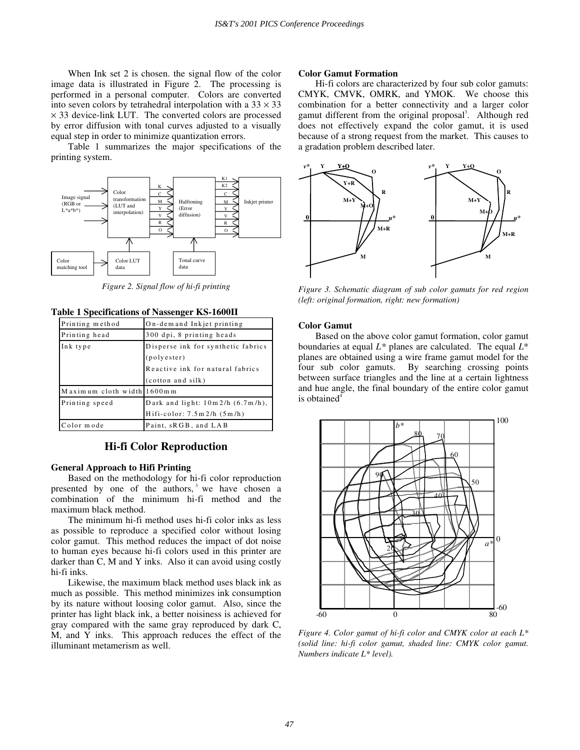When Ink set 2 is chosen. the signal flow of the color image data is illustrated in Figure  $2$ . The processing is performed in a personal computer. Colors are converted into seven colors by tetrahedral interpolation with a  $33 \times 33$  $\times$  33 device-link LUT. The converted colors are processed by error diffusion with tonal curves adjusted to a visually equal step in order to minimize quantization errors.

Table 1 summarizes the major specifications of the printing system.



*Figure 2. Signal flow of hi-fi printing* 

#### **Table 1 Specifications of Nassenger KS-1600II**

| Printing method            | On-demand Inkjet printing             |
|----------------------------|---------------------------------------|
| Printing head              | 300 dpi, 8 printing heads             |
| Ink type                   | Disperse ink for synthetic fabrics    |
|                            | (polyester)                           |
|                            | Reactive ink for natural fabrics      |
|                            | (cotton and silk)                     |
| Maximum cloth width 1600mm |                                       |
| Printing speed             | Dark and light: $10m/2/h$ (6.7m/h),   |
|                            | $H$ ifi-color: $7.5$ m $2/h$ $(5m/h)$ |
| Color mode                 | Paint, sRGB, and LAB                  |

**Hi-fi Color Reproduction** 

### **General Approach to Hifi Printing**

Based on the methodology for hi-fi color reproduction presented by one of the authors,  $3$  we have chosen a combination of the minimum hi-fi method and the maximum black method.

The minimum hi-fi method uses hi-fi color inks as less as possible to reproduce a specified color without losing color gamut. This method reduces the impact of dot noise to human eyes because hi-fi colors used in this printer are darker than C, M and Y inks. Also it can avoid using costly hi-fi inks.

Likewise, the maximum black method uses black ink as much as possible. This method minimizes ink consumption by its nature without loosing color gamut. Also, since the printer has light black ink, a better noisiness is achieved for gray compared with the same gray reproduced by dark C, M, and Y inks. This approach reduces the effect of the illuminant metamerism as well.

#### **Color Gamut Formation**

Hi-fi colors are characterized by four sub color gamuts: CMYK, CMVK, OMRK, and YMOK. We choose this combination for a better connectivity and a larger color gamut different from the original proposal<sup>3</sup>. Although red does not effectively expand the color gamut, it is used because of a strong request from the market. This causes to a gradation problem described later.



*Figure 3. Schematic diagram of sub color gamuts for red region (left: original formation, right: new formation)* 

#### **Color Gamut**

Based on the above color gamut formation, color gamut boundaries at equal *L\** planes are calculated. The equal *L*\* planes are obtained using a wire frame gamut model for the four sub color gamuts. By searching crossing points between surface triangles and the line at a certain lightness and hue angle, the final boundary of the entire color gamut is obtained $4$ 



*Figure 4. Color gamut of hi-fi color and CMYK color at each L\* (solid line: hi-fi color gamut, shaded line: CMYK color gamut. Numbers indicate L\* level).*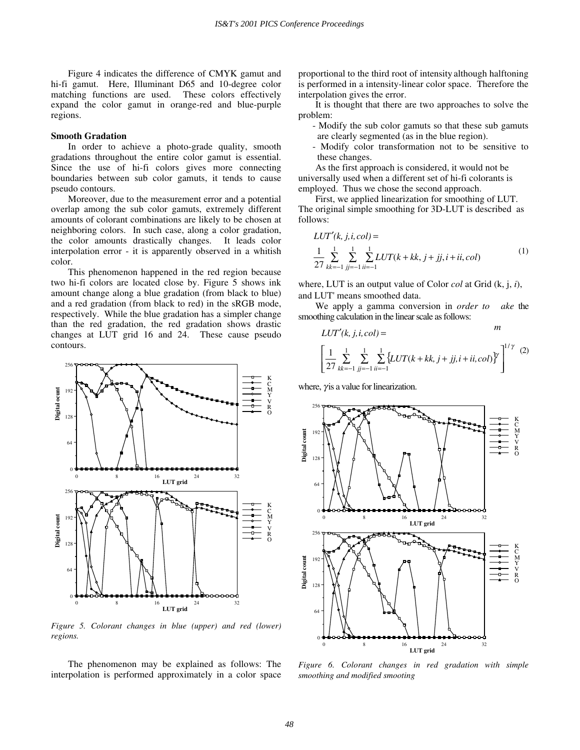Figure 4 indicates the difference of CMYK gamut and hi-fi gamut. Here, Illuminant D65 and 10-degree color matching functions are used. These colors effectively expand the color gamut in orange-red and blue-purple regions.

#### **Smooth Gradation**

In order to achieve a photo-grade quality, smooth gradations throughout the entire color gamut is essential. Since the use of hi-fi colors gives more connecting boundaries between sub color gamuts, it tends to cause pseudo contours.

Moreover, due to the measurement error and a potential overlap among the sub color gamuts, extremely different amounts of colorant combinations are likely to be chosen at neighboring colors. In such case, along a color gradation, the color amounts drastically changes. It leads color interpolation error - it is apparently observed in a whitish color.

This phenomenon happened in the red region because two hi-fi colors are located close by. Figure 5 shows ink amount change along a blue gradation (from black to blue) and a red gradation (from black to red) in the sRGB mode, respectively. While the blue gradation has a simpler change than the red gradation, the red gradation shows drastic changes at LUT grid 16 and 24. These cause pseudo contours.



*Figure 5. Colorant changes in blue (upper) and red (lower) regions.* 

The phenomenon may be explained as follows: The interpolation is performed approximately in a color space proportional to the third root of intensity although halftoning is performed in a intensity-linear color space. Therefore the interpolation gives the error.

It is thought that there are two approaches to solve the problem:

- Modify the sub color gamuts so that these sub gamuts are clearly segmented (as in the blue region).
- Modify color transformation not to be sensitive to these changes.

As the first approach is considered, it would not be universally used when a different set of hi-fi colorants is employed. Thus we chose the second approach.

First, we applied linearization for smoothing of LUT. The original simple smoothing for 3D-LUT is described as follows:

$$
LUT'(k, j, i, col) =
$$
  
\n
$$
\frac{1}{27} \sum_{kk=-1}^{1} \sum_{jj=-1}^{1} \sum_{ii=-1}^{1} LUT(k+kk, j+jj, i+ii, col)
$$
 (1)

where, LUT is an output value of Color *col* at Grid (k, j, *i*), and LUT' means smoothed data.

 We apply a gamma conversion in *order to ake* the smoothing calculation in the linear scale as follows:

$$
LUT'(k, j, i, col) = \n m\n \left[ \frac{1}{27} \sum_{kk=-1}^{1} \sum_{jj=-1}^{1} \sum_{ii=-1}^{1} \{LUT(k+kk, j+jj, i+ii, col)\}^y \right]^{1/\gamma} \quad (2)
$$

where,  $\gamma$  is a value for linearization.



*Figure 6. Colorant changes in red gradation with simple smoothing and modified smooting*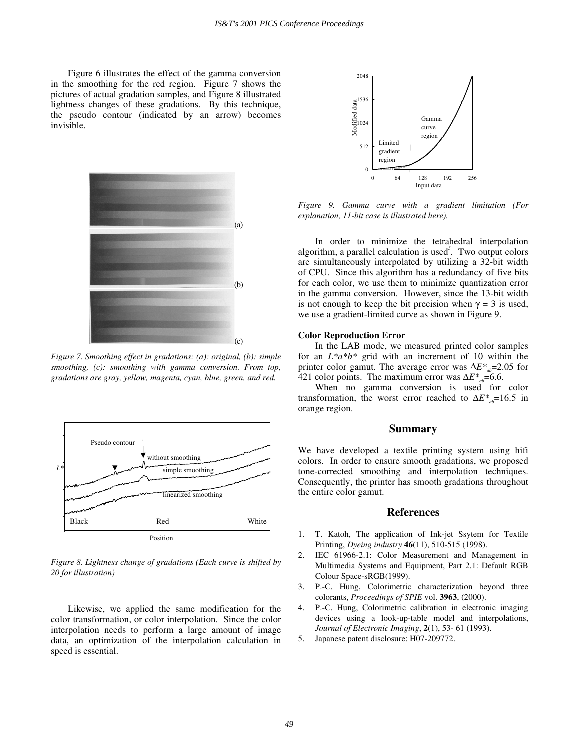Figure 6 illustrates the effect of the gamma conversion in the smoothing for the red region. Figure 7 shows the pictures of actual gradation samples, and Figure 8 illustrated lightness changes of these gradations. By this technique, the pseudo contour (indicated by an arrow) becomes invisible.



*Figure 7. Smoothing effect in gradations: (a): original, (b): simple smoothing, (c): smoothing with gamma conversion. From top, gradations are gray, yellow, magenta, cyan, blue, green, and red.* 



*Figure 8. Lightness change of gradations (Each curve is shifted by 20 for illustration)* 

Likewise, we applied the same modification for the color transformation, or color interpolation. Since the color interpolation needs to perform a large amount of image data, an optimization of the interpolation calculation in speed is essential.



*Figure 9. Gamma curve with a gradient limitation (For explanation, 11-bit case is illustrated here).* 

In order to minimize the tetrahedral interpolation algorithm, a parallel calculation is used*<sup>5</sup>* . Two output colors are simultaneously interpolated by utilizing a 32-bit width of CPU. Since this algorithm has a redundancy of five bits for each color, we use them to minimize quantization error in the gamma conversion. However, since the 13-bit width is not enough to keep the bit precision when  $\gamma = 3$  is used, we use a gradient-limited curve as shown in Figure 9.

#### **Color Reproduction Error**

In the LAB mode, we measured printed color samples for an *L\*a\*b\** grid with an increment of 10 within the printer color gamut. The average error was Δ*E*<sup>\*</sup><sub>a</sub>=2.05 for 421 color points. The maximum error was  $\Delta E^*$ <sub>a</sub>=6.6.

When no gamma conversion is used for color transformation, the worst error reached to  $\Delta E^*_{ab}$ =16.5 in orange region.

# **Summary**

We have developed a textile printing system using hifi colors. In order to ensure smooth gradations, we proposed tone-corrected smoothing and interpolation techniques. Consequently, the printer has smooth gradations throughout the entire color gamut.

# **References**

- 1. T. Katoh, The application of Ink-jet Ssytem for Textile Printing, *Dyeing industry* **46**(11), 510-515 (1998).
- 2. IEC 61966-2.1: Color Measurement and Management in Multimedia Systems and Equipment, Part 2.1: Default RGB Colour Space-sRGB(1999).
- 3. P.-C. Hung, Colorimetric characterization beyond three colorants, *Proceedings of SPIE* vol. **3963**, (2000).
- 4. P.-C. Hung, Colorimetric calibration in electronic imaging devices using a look-up-table model and interpolations, *Journal of Electronic Imaging*, **2**(1), 53- 61 (1993).
- 5. Japanese patent disclosure: H07-209772.